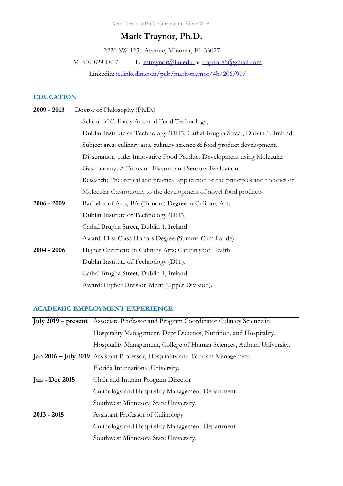Mark Traynor PhD. Curriculum Vitae 2018

# **Mark Traynor, Ph.D.**

2230 SW 125th Avenue, Miramar, FL 33027

M: 507 829 1817 E: [mtraynor@fiu.edu](mailto:markt.traynor@smsu.edu) or [traynor85@gmail.com](mailto:traynor85@gmail.com)

Linkedin: [ie.linkedin.com/pub/mark-traynor/4b/206/90/](http://ie.linkedin.com/pub/mark-traynor/4b/206/90/)

# **EDUCATION**

| $2009 - 2013$ | Doctor of Philosophy (Ph.D.)                                                      |
|---------------|-----------------------------------------------------------------------------------|
|               | School of Culinary Arts and Food Technology,                                      |
|               | Dublin Institute of Technology (DIT), Cathal Brugha Street, Dublin 1, Ireland.    |
|               | Subject area: culinary arts, culinary science & food product development.         |
|               | Dissertation Title: Innovative Food Product Development using Molecular           |
|               | Gastronomy; A Focus on Flavour and Sensory Evaluation.                            |
|               | Research: Theoretical and practical application of the principles and theories of |
|               | Molecular Gastronomy to the development of novel food products.                   |
| $2006 - 2009$ | Bachelor of Arts, BA (Honors) Degree in Culinary Arts                             |
|               | Dublin Institute of Technology (DIT),                                             |
|               | Cathal Brugha Street, Dublin 1, Ireland.                                          |
|               | Award: First Class Honors Degree (Summa Cum Laude).                               |
| $2004 - 2006$ | Higher Certificate in Culinary Arts; Catering for Health                          |
|               | Dublin Institute of Technology (DIT),                                             |
|               | Cathal Brugha Street, Dublin 1, Ireland.                                          |
|               | Award: Higher Division Merit (Upper Division).                                    |

# **ACADEMIC EMPLOYMENT EXPERIENCE**

|                | July 2019 – present Associate Professor and Program Coordinator Culinary Science in |
|----------------|-------------------------------------------------------------------------------------|
|                | Hospitality Management, Dept Dietetics, Nutrition, and Hospitality,                 |
|                | Hospitality Management, College of Human Sciences, Auburn University.               |
|                | <b>Jan 2016 – July 2019</b> Assistant Professor, Hospitality and Tourism Management |
|                | Florida International University.                                                   |
| Jan - Dec 2015 | Chair and Interim Program Director                                                  |
|                | Culinology and Hospitality Management Department                                    |
|                | Southwest Minnesota State University.                                               |
| $2013 - 2015$  | Assistant Professor of Culinology                                                   |
|                | Culinology and Hospitality Management Department                                    |
|                | Southwest Minnesota State University.                                               |
|                |                                                                                     |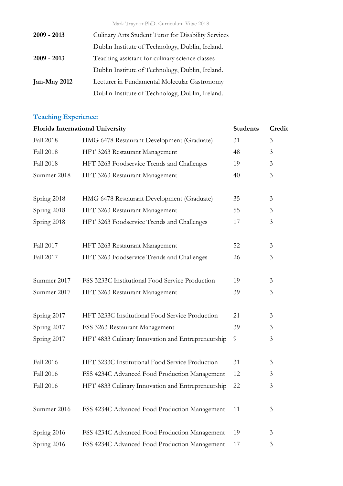Mark Traynor PhD. Curriculum Vitae 2018

| $2009 - 2013$  | Culinary Arts Student Tutor for Disability Services |
|----------------|-----------------------------------------------------|
|                | Dublin Institute of Technology, Dublin, Ireland.    |
| $2009 - 2013$  | Teaching assistant for culinary science classes     |
|                | Dublin Institute of Technology, Dublin, Ireland.    |
| Jan-May $2012$ | Lecturer in Fundamental Molecular Gastronomy        |
|                | Dublin Institute of Technology, Dublin, Ireland.    |

# **Teaching Experience:**

| Florida International University | <b>Students</b>                                   | Credit |   |
|----------------------------------|---------------------------------------------------|--------|---|
| <b>Fall 2018</b>                 | HMG 6478 Restaurant Development (Graduate)        | 31     | 3 |
| <b>Fall 2018</b>                 | HFT 3263 Restaurant Management                    | 48     | 3 |
| <b>Fall 2018</b>                 | HFT 3263 Foodservice Trends and Challenges        | 19     | 3 |
| Summer 2018                      | HFT 3263 Restaurant Management                    | 40     | 3 |
|                                  |                                                   |        |   |
| Spring 2018                      | HMG 6478 Restaurant Development (Graduate)        | 35     | 3 |
| Spring 2018                      | HFT 3263 Restaurant Management                    | 55     | 3 |
| Spring 2018                      | HFT 3263 Foodservice Trends and Challenges        | 17     | 3 |
|                                  |                                                   |        |   |
| Fall 2017                        | HFT 3263 Restaurant Management                    | 52     | 3 |
| Fall 2017                        | HFT 3263 Foodservice Trends and Challenges        | 26     | 3 |
|                                  |                                                   |        |   |
| Summer 2017                      | FSS 3233C Institutional Food Service Production   | 19     | 3 |
| Summer 2017                      | HFT 3263 Restaurant Management                    | 39     | 3 |
|                                  |                                                   |        |   |
| Spring 2017                      | HFT 3233C Institutional Food Service Production   | 21     | 3 |
| Spring 2017                      | FSS 3263 Restaurant Management                    | 39     | 3 |
| Spring 2017                      | HFT 4833 Culinary Innovation and Entrepreneurship | 9      | 3 |
|                                  |                                                   |        |   |
| <b>Fall 2016</b>                 | HFT 3233C Institutional Food Service Production   | 31     | 3 |
| Fall 2016                        | FSS 4234C Advanced Food Production Management     | 12     | 3 |
| Fall 2016                        | HFT 4833 Culinary Innovation and Entrepreneurship | 22     | 3 |
|                                  |                                                   |        |   |
| Summer 2016                      | FSS 4234C Advanced Food Production Management     | 11     | 3 |
|                                  |                                                   |        |   |
| Spring 2016                      | FSS 4234C Advanced Food Production Management     | 19     | 3 |
| Spring 2016                      | FSS 4234C Advanced Food Production Management     | 17     | 3 |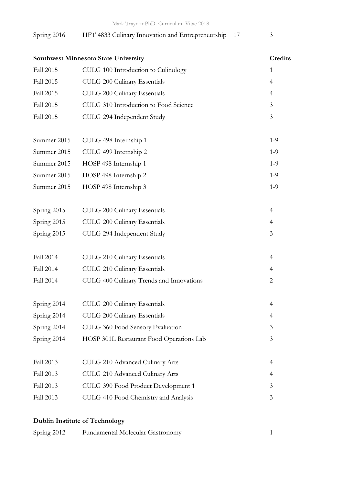# Spring 2016 HFT 4833 Culinary Innovation and Entrepreneurship 17 3

| Southwest Minnesota State University |                                          | Credits        |
|--------------------------------------|------------------------------------------|----------------|
| Fall 2015                            | CULG 100 Introduction to Culinology      | $\mathbf{1}$   |
| <b>Fall 2015</b>                     | CULG 200 Culinary Essentials             | $\overline{4}$ |
| Fall 2015                            | CULG 200 Culinary Essentials             | 4              |
| <b>Fall 2015</b>                     | CULG 310 Introduction to Food Science    | 3              |
| Fall 2015                            | CULG 294 Independent Study               | 3              |
| Summer 2015                          | CULG 498 Internship 1                    | $1 - 9$        |
| Summer 2015                          | CULG 499 Internship 2                    | $1 - 9$        |
| Summer 2015                          | HOSP 498 Internship 1                    | $1 - 9$        |
| Summer 2015                          | HOSP 498 Internship 2                    | $1 - 9$        |
| Summer 2015                          | HOSP 498 Internship 3                    | $1 - 9$        |
| Spring 2015                          | CULG 200 Culinary Essentials             | $\overline{4}$ |
| Spring 2015                          | CULG 200 Culinary Essentials             | $\overline{4}$ |
| Spring 2015                          | CULG 294 Independent Study               | 3              |
| Fall 2014                            | CULG 210 Culinary Essentials             | $\overline{4}$ |
| <b>Fall 2014</b>                     | CULG 210 Culinary Essentials             | $\overline{4}$ |
| Fall 2014                            | CULG 400 Culinary Trends and Innovations | $\overline{2}$ |
| Spring 2014                          | CULG 200 Culinary Essentials             | $\overline{4}$ |
| Spring 2014                          | CULG 200 Culinary Essentials             | $\overline{4}$ |
| Spring 2014                          | CULG 360 Food Sensory Evaluation         | 3              |
| Spring 2014                          | HOSP 301L Restaurant Food Operations Lab | 3              |
| Fall 2013                            | CULG 210 Advanced Culinary Arts          | 4              |
| Fall 2013                            | CULG 210 Advanced Culinary Arts          | 4              |
| Fall 2013                            | CULG 390 Food Product Development 1      | 3              |
| Fall 2013                            | CULG 410 Food Chemistry and Analysis     | 3              |

# **Dublin Institute of Technology**

| Spring 2012 | Fundamental Molecular Gastronomy |  |
|-------------|----------------------------------|--|
|-------------|----------------------------------|--|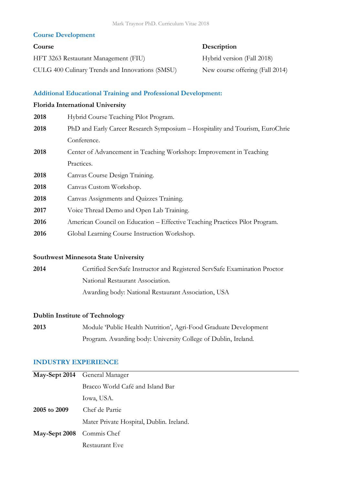# **Course Development**

# **Course Description**

HFT 3263 Restaurant Management (FIU) Hybrid version (Fall 2018) CULG 400 Culinary Trends and Innovations (SMSU) New course offering (Fall 2014)

# **Additional Educational Training and Professional Development:**

## **Florida International University**

| 2018 | Hybrid Course Teaching Pilot Program.                                        |
|------|------------------------------------------------------------------------------|
| 2018 | PhD and Early Career Research Symposium – Hospitality and Tourism, EuroChrie |
|      | Conference.                                                                  |
| 2018 | Center of Advancement in Teaching Workshop: Improvement in Teaching          |
|      | Practices.                                                                   |
| 2018 | Canvas Course Design Training.                                               |
| 2018 | Canvas Custom Workshop.                                                      |
| 2018 | Canvas Assignments and Quizzes Training.                                     |
| 2017 | Voice Thread Demo and Open Lab Training.                                     |
| 2016 | American Council on Education – Effective Teaching Practices Pilot Program.  |
| 2016 | Global Learning Course Instruction Workshop.                                 |

# **Southwest Minnesota State University**

**2014** Certified ServSafe Instructor and Registered ServSafe Examination Proctor National Restaurant Association. Awarding body: National Restaurant Association, USA

# **Dublin Institute of Technology**

**2013** Module 'Public Health Nutrition', Agri-Food Graduate Development Program. Awarding body: University College of Dublin, Ireland.

# **INDUSTRY EXPERIENCE**

|                           | May-Sept 2014 General Manager            |
|---------------------------|------------------------------------------|
|                           | Bracco World Café and Island Bar         |
|                           | Iowa, USA.                               |
| 2005 to 2009              | Chef de Partie                           |
|                           | Mater Private Hospital, Dublin. Ireland. |
| May-Sept 2008 Commis Chef |                                          |
|                           | Restaurant Eve                           |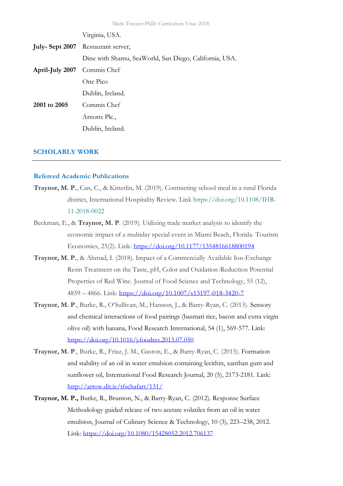|                             | Virginia, USA.                                         |
|-----------------------------|--------------------------------------------------------|
|                             | <b>July-Sept 2007</b> Restaurant server,               |
|                             | Dine with Shamu, SeaWorld, San Diego, California, USA. |
| April-July 2007 Commis Chef |                                                        |
|                             | One Pico                                               |
|                             | Dublin, Ireland.                                       |
| 2001 to 2005                | Commis Chef                                            |
|                             | Arnotts Plc.,                                          |
|                             | Dublin, Ireland.                                       |

#### **SCHOLARLY WORK**

### **Refereed Academic Publications**

- **Traynor, M. P.**, Can, C., & Kitterlin, M. (2019). Contracting school meal in a rural Florida district, International Hospitality Review*.* Link [https://doi.org/10.1108/IHR-](https://doi.org/10.1108/IHR-11-2018-0022)[11-2018-0022](https://doi.org/10.1108/IHR-11-2018-0022)
- Beckman, E., & **Traynor, M. P**. (2019). Utilizing trade market analysis to identify the economic impact of a multiday special event in Miami Beach, Florida. Tourism Economics, 25(2). Link: <https://doi.org/10.1177/1354816618800194>
- **Traynor, M. P.**, & Ahmad, I. (2018). Impact of a Commercially Available Ion-Exchange Resin Treatment on the Taste, pH, Color and Oxidation-Reduction Potential Properties of Red Wine. Journal of Food Science and Technology, 55 (12), 4859 – 4866. Link:<https://doi.org/10.1007/s13197-018-3420-7>
- **Traynor, M. P**., Burke, R., O'Sullivan, M., Hannon, J., & Barry-Ryan, C. (2013). Sensory and chemical interactions of food pairings (basmati rice, bacon and extra virgin olive oil) with banana, Food Research International, 54 (1), 569-577. Link: <https://doi.org/10.1016/j.foodres.2013.07.050>
- **Traynor, M. P**., Burke, R., Friaz, J. M., Gaston, E., & Barry-Ryan, C. (2013). Formation and stability of an oil in water emulsion containing lecithin, xanthan gum and sunflower oil, International Food Research Journal, 20 (5), 2173-2181. Link: <http://arrow.dit.ie/tfschafart/131/>
- **Traynor, M. P.,** Burke, R., Brunton, N., & Barry-Ryan, C. (2012). Response Surface Methodology guided release of two acetate volatiles from an oil in water emulsion, Journal of Culinary Science & Technology, 10 (3), 223–238, 2012. Link:<https://doi.org/10.1080/15428052.2012.706137>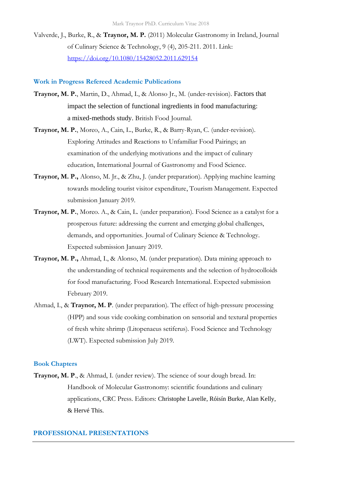Valverde, J., Burke, R., & **Traynor, M. P.** (2011) Molecular Gastronomy in Ireland, Journal of Culinary Science & Technology, 9 (4), 205-211. 2011. Link: <https://doi.org/10.1080/15428052.2011.629154>

## **Work in Progress Refereed Academic Publications**

- **Traynor, M. P.**, Martin, D., Ahmad, I., & Alonso Jr., M. (under-revision). Factors that impact the selection of functional ingredients in food manufacturing: a mixed-methods study. British Food Journal.
- **Traynor, M. P.**, Moreo, A., Cain, L., Burke, R., & Barry-Ryan, C. (under-revision). Exploring Attitudes and Reactions to Unfamiliar Food Pairings; an examination of the underlying motivations and the impact of culinary education, International Journal of Gastronomy and Food Science*.*
- **Traynor, M. P.,** Alonso, M. Jr., & Zhu, J. (under preparation). Applying machine learning towards modeling tourist visitor expenditure, Tourism Management. Expected submission January 2019.
- **Traynor, M. P.**, Moreo. A., & Cain, L. (under preparation). Food Science as a catalyst for a prosperous future: addressing the current and emerging global challenges, demands, and opportunities. Journal of Culinary Science & Technology. Expected submission January 2019.
- **Traynor, M. P.,** Ahmad, I., & Alonso, M. (under preparation). Data mining approach to the understanding of technical requirements and the selection of hydrocolloids for food manufacturing. Food Research International. Expected submission February 2019.
- Ahmad, I., & **Traynor, M. P**. (under preparation). The effect of high-pressure processing (HPP) and sous vide cooking combination on sensorial and textural properties of fresh white shrimp (Litopenaeus setiferus). Food Science and Technology (LWT). Expected submission July 2019.

#### **Book Chapters**

**Traynor, M. P**., & Ahmad, I. (under review). The science of sour dough bread. In: Handbook of Molecular Gastronomy: scientific foundations and culinary applications, CRC Press. Editors: Christophe Lavelle, Róisín Burke, Alan Kelly, & Hervé This.

## **PROFESSIONAL PRESENTATIONS**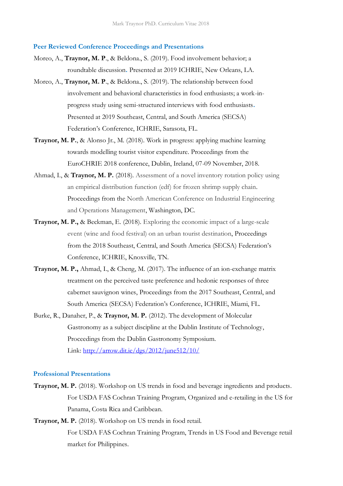#### **Peer Reviewed Conference Proceedings and Presentations**

- Moreo, A., **Traynor, M. P**., & Beldona., S. (2019). Food involvement behavior; a roundtable discussion**.** Presented at 2019 ICHRIE, New Orleans, LA.
- Moreo, A., **Traynor, M. P**., & Beldona., S. (2019). The relationship between food involvement and behavioral characteristics in food enthusiasts; a work-inprogress study using semi-structured interviews with food enthusiasts**.**  Presented at 2019 Southeast, Central, and South America (SECSA) Federation's Conference, ICHRIE, Sarasota, FL.
- **Traynor, M. P.**, & Alonso Jr., M. (2018). Work in progress: applying machine learning towards modelling tourist visitor expenditure. Proceedings from the EuroCHRIE 2018 conference, Dublin, Ireland, 07-09 November, 2018.
- Ahmad, I., & **Traynor, M. P.** (2018). Assessment of a novel inventory rotation policy using an empirical distribution function (edf) for frozen shrimp supply chain. Proceedings from the North American Conference on Industrial Engineering and Operations Management, Washington, DC.
- **Traynor, M. P.,** & Beckman, E. (2018). Exploring the economic impact of a large-scale event (wine and food festival) on an urban tourist destination, Proceedings from the 2018 Southeast, Central, and South America (SECSA) Federation's Conference, ICHRIE, Knoxville, TN.
- **Traynor, M. P.,** Ahmad, I., & Cheng, M. (2017). The influence of an ion-exchange matrix treatment on the perceived taste preference and hedonic responses of three cabernet sauvignon wines, Proceedings from the 2017 Southeast, Central, and South America (SECSA) Federation's Conference, ICHRIE, Miami, FL.
- Burke, R., Danaher, P., & **Traynor, M. P.** (2012). [The development of Molecular](http://arrow.dit.ie/dgs/2012/june512/10)  [Gastronomy as a subject discipline at the Dublin Institute of Technology,](http://arrow.dit.ie/dgs/2012/june512/10) Proceedings from the [Dublin Gastronomy Symposium.](http://arrow.dit.ie/dgs) Link:<http://arrow.dit.ie/dgs/2012/june512/10/>

#### **Professional Presentations**

- **Traynor, M. P.** (2018). Workshop on US trends in food and beverage ingredients and products. For USDA FAS Cochran Training Program, Organized and e-retailing in the US for Panama, Costa Rica and Caribbean.
- **Traynor, M. P.** (2018). Workshop on US trends in food retail. For USDA FAS Cochran Training Program, Trends in US Food and Beverage retail market for Philippines.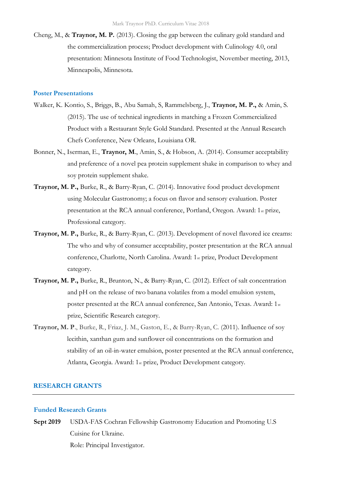Cheng, M., & **Traynor, M. P.** (2013). Closing the gap between the culinary gold standard and the commercialization process; Product development with Culinology 4.0, oral presentation: Minnesota Institute of Food Technologist, November meeting, 2013, Minneapolis, Minnesota.

#### **Poster Presentations**

- Walker, K. Kontio, S., Briggs, B., Abu Samah, S, Rammelsberg, J., **Traynor, M. P.,** & Amin, S. (2015). The use of technical ingredients in matching a Frozen Commercialized Product with a Restaurant Style Gold Standard. Presented at the Annual Research Chefs Conference, New Orleans, Louisiana OR.
- Bonner, N., Iserman, E., **Traynor, M**., Amin, S., & Hobson, A. (2014). Consumer acceptability and preference of a novel pea protein supplement shake in comparison to whey and soy protein supplement shake.
- **Traynor, M. P.,** Burke, R., & Barry-Ryan, C. (2014). Innovative food product development using Molecular Gastronomy; a focus on flavor and sensory evaluation. Poster presentation at the RCA annual conference, Portland, Oregon. Award: 1st prize, Professional category.
- **Traynor, M. P.,** Burke, R., & Barry-Ryan, C. (2013). Development of novel flavored ice creams: The who and why of consumer acceptability, poster presentation at the RCA annual conference, Charlotte, North Carolina. Award: 1st prize, Product Development category.
- **Traynor, M. P.,** Burke, R., Brunton, N., & Barry-Ryan, C. (2012). Effect of salt concentration and pH on the release of two banana volatiles from a model emulsion system, poster presented at the RCA annual conference, San Antonio, Texas. Award: 1st prize, Scientific Research category.
- **Traynor, M. P**., Burke, R., Friaz, J. M., Gaston, E., & Barry-Ryan, C. (2011). Influence of soy lecithin, xanthan gum and sunflower oil concentrations on the formation and stability of an oil-in-water emulsion, poster presented at the RCA annual conference, Atlanta, Georgia. Award: 1st prize, Product Development category.

#### **RESEARCH GRANTS**

#### **Funded Research Grants**

**Sept 2019** USDA-FAS Cochran Fellowship Gastronomy Education and Promoting U.S Cuisine for Ukraine. Role: Principal Investigator.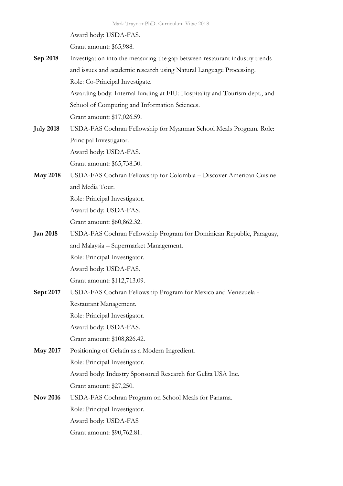Award body: USDA-FAS.

Grant amount: \$65,988.

- **Sep 2018** Investigation into the measuring the gap between restaurant industry trends and issues and academic research using Natural Language Processing. Role: Co-Principal Investigate. Awarding body: Internal funding at FIU: Hospitality and Tourism dept., and School of Computing and Information Sciences. Grant amount: \$17,026.59.
- **July 2018** USDA-FAS Cochran Fellowship for Myanmar School Meals Program. Role: Principal Investigator. Award body: USDA-FAS. Grant amount: \$65,738.30.
- **May 2018** USDA-FAS Cochran Fellowship for Colombia Discover American Cuisine and Media Tour. Role: Principal Investigator.

Award body: USDA-FAS.

Grant amount: \$60,862.32.

- **Jan 2018** USDA-FAS Cochran Fellowship Program for Dominican Republic, Paraguay, and Malaysia – Supermarket Management. Role: Principal Investigator. Award body: USDA-FAS. Grant amount: \$112,713.09.
- **Sept 2017** USDA-FAS Cochran Fellowship Program for Mexico and Venezuela Restaurant Management. Role: Principal Investigator. Award body: USDA-FAS. Grant amount: \$108,826.42.
- **May 2017** Positioning of Gelatin as a Modern Ingredient. Role: Principal Investigator. Award body: Industry Sponsored Research for Gelita USA Inc. Grant amount: \$27,250.
- **Nov 2016** USDA-FAS Cochran Program on School Meals for Panama. Role: Principal Investigator. Award body: USDA-FAS Grant amount: \$90,762.81.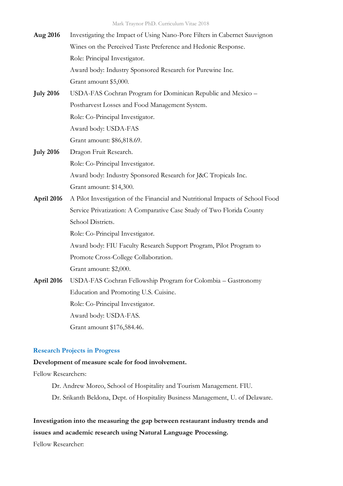| Aug 2016         | Investigating the Impact of Using Nano-Pore Filters in Cabernet Sauvignon     |
|------------------|-------------------------------------------------------------------------------|
|                  | Wines on the Perceived Taste Preference and Hedonic Response.                 |
|                  | Role: Principal Investigator.                                                 |
|                  | Award body: Industry Sponsored Research for Purewine Inc.                     |
|                  | Grant amount \$5,000.                                                         |
| <b>July 2016</b> | USDA-FAS Cochran Program for Dominican Republic and Mexico -                  |
|                  | Postharvest Losses and Food Management System.                                |
|                  | Role: Co-Principal Investigator.                                              |
|                  | Award body: USDA-FAS                                                          |
|                  | Grant amount: \$86,818.69.                                                    |
| <b>July 2016</b> | Dragon Fruit Research.                                                        |
|                  | Role: Co-Principal Investigator.                                              |
|                  | Award body: Industry Sponsored Research for J&C Tropicals Inc.                |
|                  | Grant amount: \$14,300.                                                       |
| April 2016       | A Pilot Investigation of the Financial and Nutritional Impacts of School Food |
|                  | Service Privatization: A Comparative Case Study of Two Florida County         |
|                  | School Districts.                                                             |
|                  | Role: Co-Principal Investigator.                                              |
|                  | Award body: FIU Faculty Research Support Program, Pilot Program to            |
|                  | Promote Cross-College Collaboration.                                          |
|                  | Grant amount: \$2,000.                                                        |
| April 2016       | USDA-FAS Cochran Fellowship Program for Colombia - Gastronomy                 |
|                  | Education and Promoting U.S. Cuisine.                                         |
|                  | Role: Co-Principal Investigator.                                              |
|                  | Award body: USDA-FAS.                                                         |

Grant amount \$176,584.46.

# **Research Projects in Progress**

### **Development of measure scale for food involvement.**

Fellow Researchers:

- Dr. Andrew Moreo, School of Hospitality and Tourism Management. FIU.
- Dr. Srikanth Beldona, Dept. of Hospitality Business Management, U. of Delaware.

# **Investigation into the measuring the gap between restaurant industry trends and issues and academic research using Natural Language Processing.**

Fellow Researcher: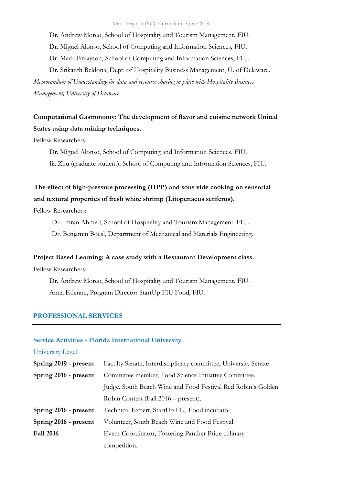Dr. Andrew Moreo, School of Hospitality and Tourism Management. FIU.

Dr. Miguel Alonso, School of Computing and Information Sciences, FIU.

Dr. Mark Finlayson, School of Computing and Information Sciences, FIU.

Dr. Srikanth Beldona, Dept. of Hospitality Business Management, U. of Delaware.

*Memorandum of Understanding for data and resource sharing in place with Hospitality Business Management, University of Delaware.*

# **Computational Gastronomy: The development of flavor and cuisine network United States using data mining techniques.**

Fellow Researchers:

Dr. Miguel Alonso, School of Computing and Information Sciences, FIU.

Jia Zhu (graduate student), School of Computing and Information Sciences, FIU.

# **The effect of high-pressure processing (HPP) and sous vide cooking on sensorial and textural properties of fresh white shrimp (Litopenaeus setiferus).**

Fellow Researchers:

Dr. Imran Ahmed, School of Hospitality and Tourism Management. FIU.

Dr. Benjamin Boesl, Department of Mechanical and Materials Engineering.

## **Project Based Learning: A case study with a Restaurant Development class.**

Fellow Researchers:

Dr. Andrew Moreo, School of Hospitality and Tourism Management. FIU. Anna Etienne, Program Director StartUp FIU Food, FIU.

#### **PROFESSIONAL SERVICES**

## **Service Activities - Florida International University**

University Level

| Spring 2019 - present | Faculty Senate, Interdisciplinary committee, University Senate |
|-----------------------|----------------------------------------------------------------|
| Spring 2016 - present | Committee member, Food Science Initiative Committee.           |
|                       | Judge, South Beach Wine and Food Festival Red Robin's Golden   |
|                       | Robin Contest (Fall 2016 – present).                           |
| Spring 2016 - present | Technical Expert, StartUp FIU Food incubator.                  |
| Spring 2016 - present | Volunteer, South Beach Wine and Food Festival.                 |
| <b>Fall 2016</b>      | Event Coordinator, Fostering Panther Pride culinary            |
|                       | competition.                                                   |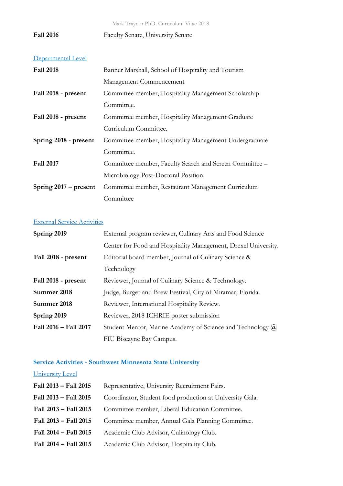Mark Traynor PhD. Curriculum Vitae 2018

Fall 2016 Faculty Senate, University Senate

# Departmental Level

| <b>Fall 2018</b>        | Banner Marshall, School of Hospitality and Tourism      |
|-------------------------|---------------------------------------------------------|
|                         | Management Commencement                                 |
| Fall 2018 - present     | Committee member, Hospitality Management Scholarship    |
|                         | Committee.                                              |
| Fall 2018 - present     | Committee member, Hospitality Management Graduate       |
|                         | Curriculum Committee.                                   |
| Spring 2018 - present   | Committee member, Hospitality Management Undergraduate  |
|                         | Committee.                                              |
| <b>Fall 2017</b>        | Committee member, Faculty Search and Screen Committee – |
|                         | Microbiology Post-Doctoral Position.                    |
| Spring $2017$ – present | Committee member, Restaurant Management Curriculum      |
|                         | Committee                                               |

# External Service Activities

| Spring 2019           | External program reviewer, Culinary Arts and Food Science         |
|-----------------------|-------------------------------------------------------------------|
|                       | Center for Food and Hospitality Management, Drexel University.    |
| Fall 2018 - present   | Editorial board member, Journal of Culinary Science &             |
|                       | Technology                                                        |
| Fall 2018 - present   | Reviewer, Journal of Culinary Science & Technology.               |
| Summer 2018           | Judge, Burger and Brew Festival, City of Miramar, Florida.        |
| Summer 2018           | Reviewer, International Hospitality Review.                       |
| Spring 2019           | Reviewer, 2018 ICHRIE poster submission                           |
| Fall 2016 - Fall 2017 | Student Mentor, Marine Academy of Science and Technology $\omega$ |
|                       | FIU Biscayne Bay Campus.                                          |

# **Service Activities - Southwest Minnesota State University**

University Level

| Fall 2013 - Fall 2015 | Representative, University Recruitment Fairs.            |
|-----------------------|----------------------------------------------------------|
| Fall 2013 - Fall 2015 | Coordinator, Student food production at University Gala. |
| Fall 2013 - Fall 2015 | Committee member, Liberal Education Committee.           |
| Fall 2013 - Fall 2015 | Committee member, Annual Gala Planning Committee.        |
| Fall 2014 - Fall 2015 | Academic Club Advisor, Culinology Club.                  |
| Fall 2014 - Fall 2015 | Academic Club Advisor, Hospitality Club.                 |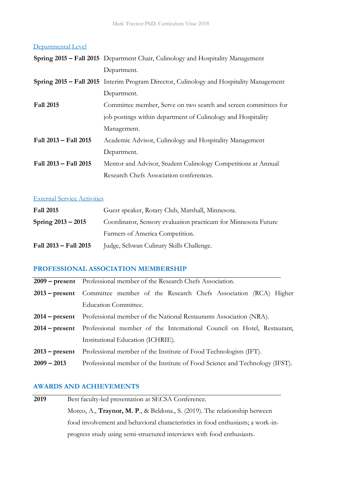## Departmental Level

|                       | Spring 2015 - Fall 2015 Department Chair, Culinology and Hospitality Management         |
|-----------------------|-----------------------------------------------------------------------------------------|
|                       | Department.                                                                             |
|                       | Spring 2015 - Fall 2015 Interim Program Director, Culinology and Hospitality Management |
|                       | Department.                                                                             |
| <b>Fall 2015</b>      | Committee member, Serve on two search and screen committees for                         |
|                       | job postings within department of Culinology and Hospitality                            |
|                       | Management.                                                                             |
| Fall 2013 - Fall 2015 | Academic Advisor, Culinology and Hospitality Management                                 |
|                       | Department.                                                                             |
| Fall 2013 - Fall 2015 | Mentor and Advisor, Student Culinology Competitions at Annual                           |
|                       | Research Chefs Association conferences.                                                 |

## External Service Activities

| <b>Fall 2015</b>      | Guest speaker, Rotary Club, Marshall, Minnesota.               |
|-----------------------|----------------------------------------------------------------|
| Spring $2013 - 2015$  | Coordinator, Sensory evaluation practicum for Minnesota Future |
|                       | Farmers of America Competition.                                |
| Fall 2013 – Fall 2015 | Judge, Schwan Culinary Skills Challenge.                       |

# **PROFESSIONAL ASSOCIATION MEMBERSHIP**

|               | 2009 – present Professional member of the Research Chefs Association.                    |  |  |
|---------------|------------------------------------------------------------------------------------------|--|--|
|               | 2013 - present Committee member of the Research Chefs Association (RCA) Higher           |  |  |
|               | <b>Education Committee.</b>                                                              |  |  |
|               | <b>2014 – present</b> Professional member of the National Restaurants Association (NRA). |  |  |
|               | 2014 – present Professional member of the International Council on Hotel, Restaurant,    |  |  |
|               | Institutional Education (ICHRIE).                                                        |  |  |
|               | <b>2013 – present</b> Professional member of the Institute of Food Technologists (IFT).  |  |  |
| $2009 - 2013$ | Professional member of the Institute of Food Science and Technology (IFST).              |  |  |

# **AWARDS AND ACHIEVEMENTS**

| 2019 | Best faculty-led presentation at SECSA Conference.                                 |  |  |
|------|------------------------------------------------------------------------------------|--|--|
|      | Moreo, A., <b>Traynor, M. P.</b> , & Beldona., S. (2019). The relationship between |  |  |
|      | food involvement and behavioral characteristics in food enthusiasts; a work-in-    |  |  |
|      | progress study using semi-structured interviews with food enthusiasts.             |  |  |